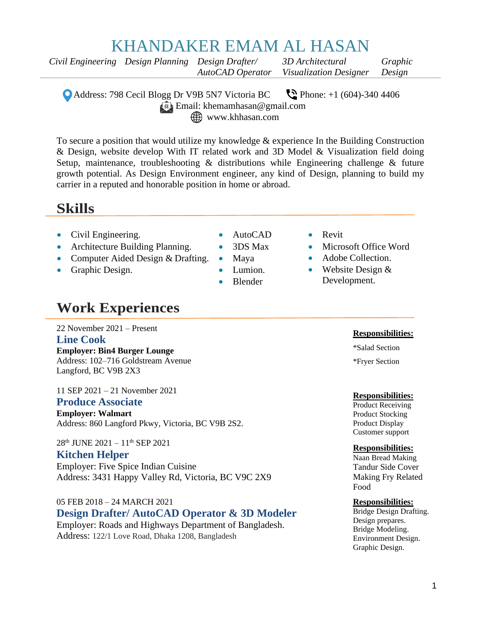# KHANDAKER EMAM AL HASAN

*Civil Engineering Design Planning Design Drafter/ AutoCAD Operator 3D Architectural Visualization Designer Graphic Design*

Address: 798 Cecil Blogg Dr V9B 5N7 Victoria BC Phone: +1 (604)-340 4406 Email: khemamhasan@gmail.com www.khhasan.com

To secure a position that would utilize my knowledge & experience In the Building Construction & Design, website develop With IT related work and 3D Model & Visualization field doing Setup, maintenance, troubleshooting & distributions while Engineering challenge & future growth potential. As Design Environment engineer, any kind of Design, planning to build my carrier in a reputed and honorable position in home or abroad.

## **Skills**

- Civil Engineering.
- Architecture Building Planning.
- Computer Aided Design & Drafting.
- Graphic Design.

# **Work Experiences**

22 November 2021 – Present

**Line Cook** 

**Employer: Bin4 Burger Lounge** Address: 102–716 Goldstream Avenue Langford, BC V9B 2X3

11 SEP 2021 – 21 November 2021

### **Produce Associate**

**Employer: Walmart**  Address: 860 Langford Pkwy, Victoria, BC V9B 2S2.

 $28<sup>th</sup>$  JUNE  $2021 - 11<sup>th</sup>$  SEP  $2021$ 

### **Kitchen Helper**

Employer: Five Spice Indian Cuisine Address: 3431 Happy Valley Rd, Victoria, BC V9C 2X9

05 FEB 2018 – 24 MARCH 2021

### **Design Drafter/ AutoCAD Operator & 3D Modeler**

Employer: Roads and Highways Department of Bangladesh. Address: 122/1 Love Road, Dhaka 1208, Bangladesh

- Revit
- Microsoft Office Word
- Adobe Collection.
- Website Design & Development.

#### **Responsibilities:**

\*Salad Section \*Fryer Section

#### **Responsibilities:**

Product Receiving Product Stocking Product Display Customer support

#### **Responsibilities:**

Naan Bread Making Tandur Side Cover Making Fry Related Food

#### **Responsibilities:**

Bridge Design Drafting. Design prepares. Bridge Modeling. Environment Design. Graphic Design.

#### • AutoCAD • 3DS Max

- Maya
- Lumion.
- 
- Blender
- 
- 
-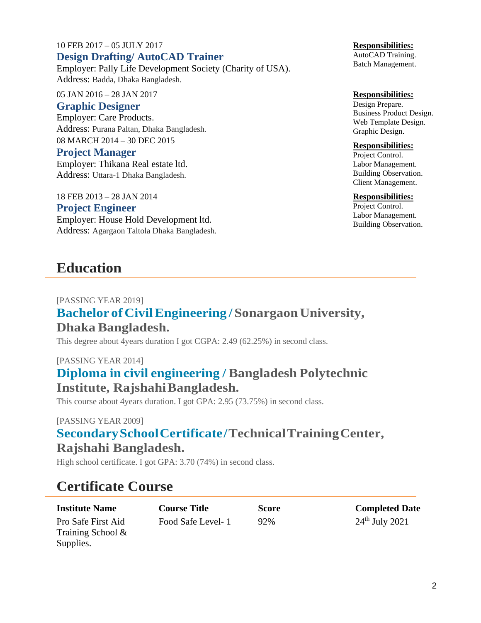### 10 FEB 2017 – 05 JULY 2017 **Design Drafting/ AutoCAD Trainer**

Employer: Pally Life Development Society (Charity of USA). Address: Badda, Dhaka Bangladesh.

### 05 JAN 2016 – 28 JAN 2017 **Graphic Designer**

Employer: Care Products. Address: Purana Paltan, Dhaka Bangladesh. 08 MARCH 2014 – 30 DEC 2015

## **Project Manager**

Employer: Thikana Real estate ltd. Address: Uttara-1 Dhaka Bangladesh.

18 FEB 2013 – 28 JAN 2014 **Project Engineer**

Employer: House Hold Development ltd. Address: Agargaon Taltola Dhaka Bangladesh.

# **Education**

### [PASSING YEAR 2019]

# **Bachelor ofCivilEngineering /SonargaonUniversity,**

## **Dhaka Bangladesh.**

This degree about 4years duration I got CGPA: 2.49 (62.25%) in second class.

#### [PASSING YEAR 2014]

## **Diploma in civil engineering / Bangladesh Polytechnic Institute, RajshahiBangladesh.**

This course about 4years duration. I got GPA: 2.95 (73.75%) in second class.

### [PASSING YEAR 2009]

## **SecondarySchoolCertificate/TechnicalTrainingCenter, Rajshahi Bangladesh.**

High school certificate. I got GPA: 3.70 (74%) in second class.

# **Certificate Course**

Pro Safe First Aid Training School & Supplies.

Food Safe Level- 1 92% 24<sup>th</sup> July 2021

**Institute Name Course Title Score Completed Date**

**Responsibilities:**

AutoCAD Training. Batch Management.

#### **Responsibilities:**

Design Prepare. Business Product Design. Web Template Design. Graphic Design.

#### **Responsibilities:**

Project Control. Labor Management. Building Observation. Client Management.

#### **Responsibilities:**

Project Control. Labor Management. Building Observation.